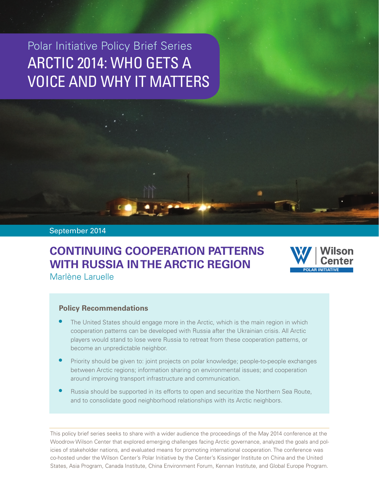# Polar Initiative Policy Brief Series ARCTIC 2014: WHO GETS A VOICE AND WHY IT MATTERS

#### September 2014

# **CONTINUING COOPERATION PATTERNS WITH RUSSIA IN THE ARCTIC REGION**



Marlène Laruelle

#### **Policy Recommendations**

- The United States should engage more in the Arctic, which is the main region in which cooperation patterns can be developed with Russia after the Ukrainian crisis. All Arctic players would stand to lose were Russia to retreat from these cooperation patterns, or become an unpredictable neighbor.
- Priority should be given to: joint projects on polar knowledge; people-to-people exchanges between Arctic regions; information sharing on environmental issues; and cooperation around improving transport infrastructure and communication.
- Russia should be supported in its efforts to open and securitize the Northern Sea Route, and to consolidate good neighborhood relationships with its Arctic neighbors.

This policy brief series seeks to share with a wider audience the proceedings of the May 2014 conference at the Woodrow Wilson Center that explored emerging challenges facing Arctic governance, analyzed the goals and policies of stakeholder nations, and evaluated means for promoting international cooperation. The conference was co-hosted under the Wilson Center's Polar Initiative by the Center's Kissinger Institute on China and the United States, Asia Program, Canada Institute, China Environment Forum, Kennan Institute, and Global Europe Program.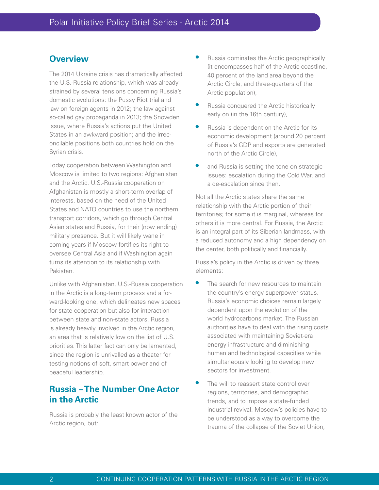### **Overview**

The 2014 Ukraine crisis has dramatically affected the U.S.-Russia relationship, which was already strained by several tensions concerning Russia's domestic evolutions: the Pussy Riot trial and law on foreign agents in 2012; the law against so-called gay propaganda in 2013; the Snowden issue, where Russia's actions put the United States in an awkward position; and the irreconcilable positions both countries hold on the Syrian crisis.

Today cooperation between Washington and Moscow is limited to two regions: Afghanistan and the Arctic. U.S.-Russia cooperation on Afghanistan is mostly a short-term overlap of interests, based on the need of the United States and NATO countries to use the northern transport corridors, which go through Central Asian states and Russia, for their (now ending) military presence. But it will likely wane in coming years if Moscow fortifies its right to oversee Central Asia and if Washington again turns its attention to its relationship with Pakistan.

Unlike with Afghanistan, U.S.-Russia cooperation in the Arctic is a long-term process and a forward-looking one, which delineates new spaces for state cooperation but also for interaction between state and non-state actors. Russia is already heavily involved in the Arctic region, an area that is relatively low on the list of U.S. priorities. This latter fact can only be lamented, since the region is unrivalled as a theater for testing notions of soft, smart power and of peaceful leadership.

## **Russia – The Number One Actor in the Arctic**

Russia is probably the least known actor of the Arctic region, but:

- Russia dominates the Arctic geographically (it encompasses half of the Arctic coastline, 40 percent of the land area beyond the Arctic Circle, and three-quarters of the Arctic population),
- Russia conquered the Arctic historically early on (in the 16th century),
- Russia is dependent on the Arctic for its economic development (around 20 percent of Russia's GDP and exports are generated north of the Arctic Circle),
- and Russia is setting the tone on strategic issues: escalation during the Cold War, and a de-escalation since then.

Not all the Arctic states share the same relationship with the Arctic portion of their territories; for some it is marginal, whereas for others it is more central. For Russia, the Arctic is an integral part of its Siberian landmass, with a reduced autonomy and a high dependency on the center, both politically and financially.

Russia's policy in the Arctic is driven by three elements:

- The search for new resources to maintain the country's energy superpower status. Russia's economic choices remain largely dependent upon the evolution of the world hydrocarbons market. The Russian authorities have to deal with the rising costs associated with maintaining Soviet-era energy infrastructure and diminishing human and technological capacities while simultaneously looking to develop new sectors for investment.
- The will to reassert state control over regions, territories, and demographic trends, and to impose a state-funded industrial revival. Moscow's policies have to be understood as a way to overcome the trauma of the collapse of the Soviet Union,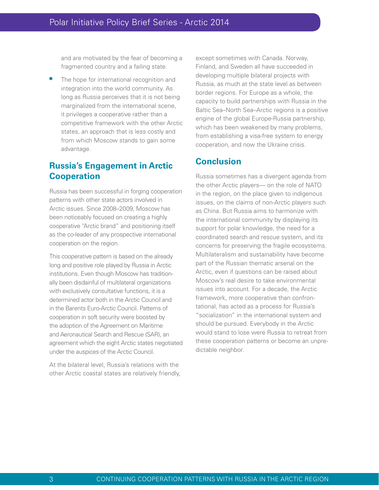and are motivated by the fear of becoming a fragmented country and a failing state.

The hope for international recognition and integration into the world community. As long as Russia perceives that it is not being marginalized from the international scene, it privileges a cooperative rather than a competitive framework with the other Arctic states, an approach that is less costly and from which Moscow stands to gain some advantage.

### **Russia's Engagement in Arctic Cooperation**

Russia has been successful in forging cooperation patterns with other state actors involved in Arctic issues. Since 2008–2009, Moscow has been noticeably focused on creating a highly cooperative "Arctic brand" and positioning itself as the co-leader of any prospective international cooperation on the region.

This cooperative pattern is based on the already long and positive role played by Russia in Arctic institutions. Even though Moscow has traditionally been disdainful of multilateral organizations with exclusively consultative functions, it is a determined actor both in the Arctic Council and in the Barents Euro-Arctic Council. Patterns of cooperation in soft security were boosted by the adoption of the Agreement on Maritime and Aeronautical Search and Rescue (SAR), an agreement which the eight Arctic states negotiated under the auspices of the Arctic Council.

At the bilateral level, Russia's relations with the other Arctic coastal states are relatively friendly, except sometimes with Canada. Norway, Finland, and Sweden all have succeeded in developing multiple bilateral projects with Russia, as much at the state level as between border regions. For Europe as a whole, the capacity to build partnerships with Russia in the Baltic Sea–North Sea–Arctic regions is a positive engine of the global Europe-Russia partnership, which has been weakened by many problems, from establishing a visa-free system to energy cooperation, and now the Ukraine crisis.

### **Conclusion**

Russia sometimes has a divergent agenda from the other Arctic players— on the role of NATO in the region, on the place given to indigenous issues, on the claims of non-Arctic players such as China. But Russia aims to harmonize with the international community by displaying its support for polar knowledge, the need for a coordinated search and rescue system, and its concerns for preserving the fragile ecosystems. Multilateralism and sustainability have become part of the Russian thematic arsenal on the Arctic, even if questions can be raised about Moscow's real desire to take environmental issues into account. For a decade, the Arctic framework, more cooperative than confrontational, has acted as a process for Russia's "socialization" in the international system and should be pursued. Everybody in the Arctic would stand to lose were Russia to retreat from these cooperation patterns or become an unpredictable neighbor.